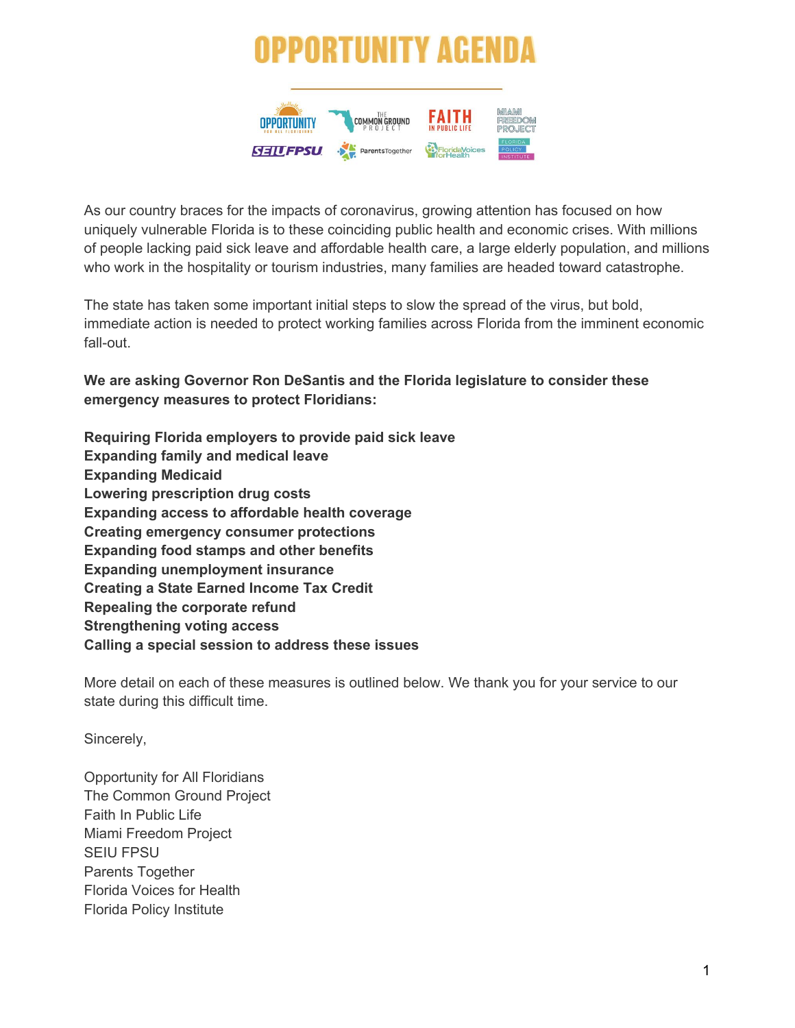# PPORTUNITY AGE



As our country braces for the impacts of coronavirus, growing attention has focused on how uniquely vulnerable Florida is to these coinciding public health and economic crises. With millions of people lacking paid sick leave and affordable health care, a large elderly population, and millions who work in the hospitality or tourism industries, many families are headed toward catastrophe.

The state has taken some important initial steps to slow the spread of the virus, but bold, immediate action is needed to protect working families across Florida from the imminent economic fall-out.

**We are asking Governor Ron DeSantis and the Florida legislature to consider these emergency measures to protect Floridians:**

**Requiring Florida employers to provide paid sick leave Expanding family and medical leave Expanding Medicaid Lowering prescription drug costs Expanding access to affordable health coverage Creating emergency consumer protections Expanding food stamps and other benefits Expanding unemployment insurance Creating a State Earned Income Tax Credit Repealing the corporate refund Strengthening voting access Calling a special session to address these issues**

More detail on each of these measures is outlined below. We thank you for your service to our state during this difficult time.

Sincerely,

Opportunity for All Floridians The Common Ground Project Faith In Public Life Miami Freedom Project SEIU FPSU Parents Together Florida Voices for Health Florida Policy Institute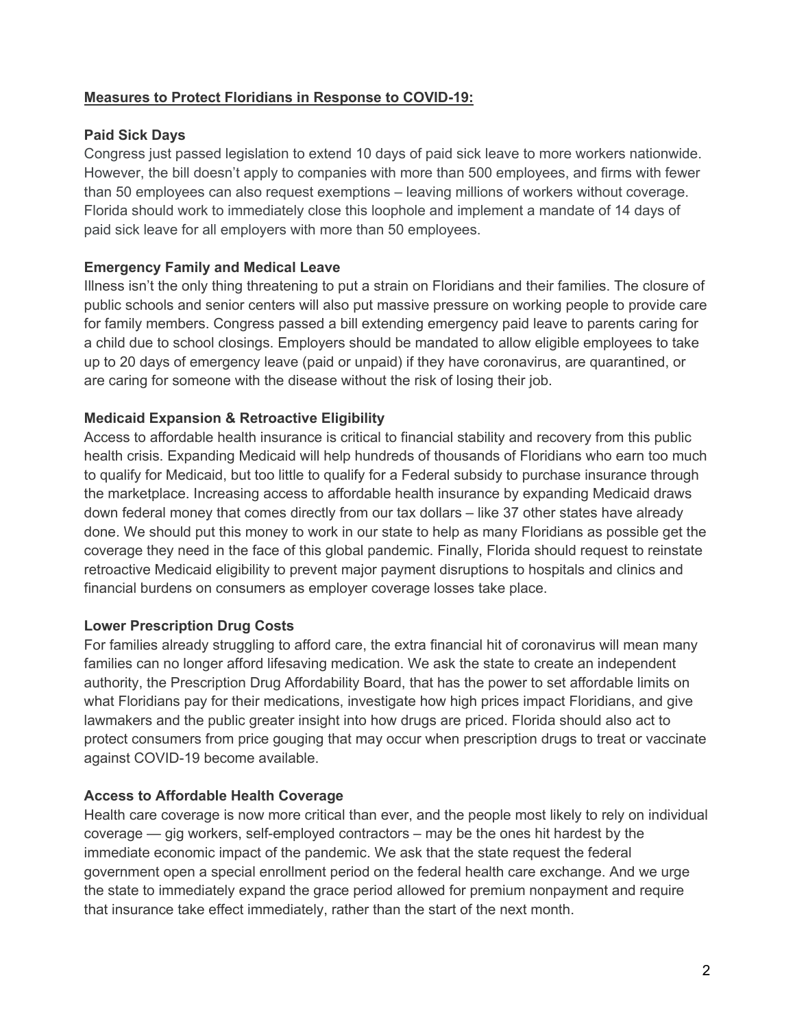# **Measures to Protect Floridians in Response to COVID-19:**

## **Paid Sick Days**

Congress just passed legislation to extend 10 days of paid sick leave to more workers nationwide. However, the bill doesn't apply to companies with more than 500 employees, and firms with fewer than 50 employees can also request exemptions – leaving millions of workers without coverage. Florida should work to immediately close this loophole and implement a mandate of 14 days of paid sick leave for all employers with more than 50 employees.

## **Emergency Family and Medical Leave**

Illness isn't the only thing threatening to put a strain on Floridians and their families. The closure of public schools and senior centers will also put massive pressure on working people to provide care for family members. Congress passed a bill extending emergency paid leave to parents caring for a child due to school closings. Employers should be mandated to allow eligible employees to take up to 20 days of emergency leave (paid or unpaid) if they have coronavirus, are quarantined, or are caring for someone with the disease without the risk of losing their job.

## **Medicaid Expansion & Retroactive Eligibility**

Access to affordable health insurance is critical to financial stability and recovery from this public health crisis. Expanding Medicaid will help hundreds of thousands of Floridians who earn too much to qualify for Medicaid, but too little to qualify for a Federal subsidy to purchase insurance through the marketplace. Increasing access to affordable health insurance by expanding Medicaid draws down federal money that comes directly from our tax dollars – like 37 other states have already done. We should put this money to work in our state to help as many Floridians as possible get the coverage they need in the face of this global pandemic. Finally, Florida should request to reinstate retroactive Medicaid eligibility to prevent major payment disruptions to hospitals and clinics and financial burdens on consumers as employer coverage losses take place.

## **Lower Prescription Drug Costs**

For families already struggling to afford care, the extra financial hit of coronavirus will mean many families can no longer afford lifesaving medication. We ask the state to create an independent authority, the Prescription Drug Affordability Board, that has the power to set affordable limits on what Floridians pay for their medications, investigate how high prices impact Floridians, and give lawmakers and the public greater insight into how drugs are priced. Florida should also act to protect consumers from price gouging that may occur when prescription drugs to treat or vaccinate against COVID-19 become available.

## **Access to Affordable Health Coverage**

Health care coverage is now more critical than ever, and the people most likely to rely on individual coverage — gig workers, self-employed contractors – may be the ones hit hardest by the immediate economic impact of the pandemic. We ask that the state request the federal government open a special enrollment period on the federal health care exchange. And we urge the state to immediately expand the grace period allowed for premium nonpayment and require that insurance take effect immediately, rather than the start of the next month.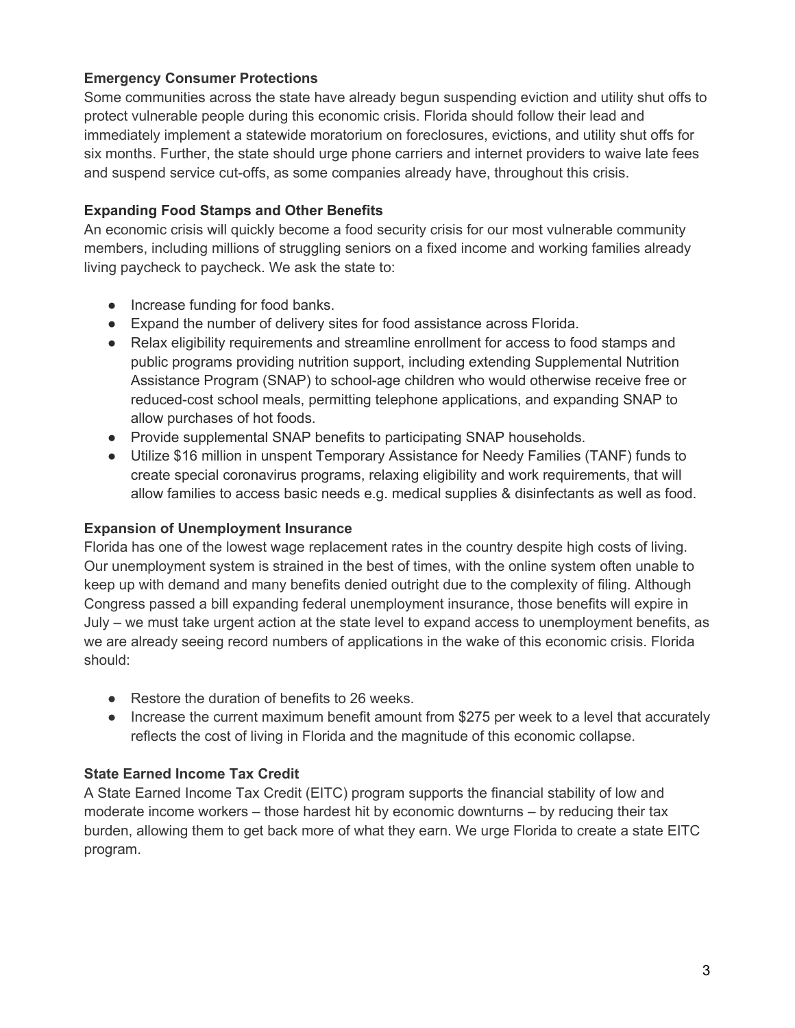# **Emergency Consumer Protections**

Some communities across the state have already begun suspending eviction and utility shut offs to protect vulnerable people during this economic crisis. Florida should follow their lead and immediately implement a statewide moratorium on foreclosures, evictions, and utility shut offs for six months. Further, the state should urge phone carriers and internet providers to waive late fees and suspend service cut-offs, as some companies already have, throughout this crisis.

# **Expanding Food Stamps and Other Benefits**

An economic crisis will quickly become a food security crisis for our most vulnerable community members, including millions of struggling seniors on a fixed income and working families already living paycheck to paycheck. We ask the state to:

- Increase funding for food banks.
- Expand the number of delivery sites for food assistance across Florida.
- Relax eligibility requirements and streamline enrollment for access to food stamps and public programs providing nutrition support, including extending Supplemental Nutrition Assistance Program (SNAP) to school-age children who would otherwise receive free or reduced-cost school meals, permitting telephone applications, and expanding SNAP to allow purchases of hot foods.
- Provide supplemental SNAP benefits to participating SNAP households.
- Utilize \$16 million in unspent Temporary Assistance for Needy Families (TANF) funds to create special coronavirus programs, relaxing eligibility and work requirements, that will allow families to access basic needs e.g. medical supplies & disinfectants as well as food.

# **Expansion of Unemployment Insurance**

Florida has one of the lowest wage replacement rates in the country despite high costs of living. Our unemployment system is strained in the best of times, with the online system often unable to keep up with demand and many benefits denied outright due to the complexity of filing. Although Congress passed a bill expanding federal unemployment insurance, those benefits will expire in July – we must take urgent action at the state level to expand access to unemployment benefits, as we are already seeing record numbers of applications in the wake of this economic crisis. Florida should:

- Restore the duration of benefits to 26 weeks.
- Increase the current maximum benefit amount from \$275 per week to a level that accurately reflects the cost of living in Florida and the magnitude of this economic collapse.

# **State Earned Income Tax Credit**

A State Earned Income Tax Credit (EITC) program supports the financial stability of low and moderate income workers – those hardest hit by economic downturns – by reducing their tax burden, allowing them to get back more of what they earn. We urge Florida to create a state EITC program.